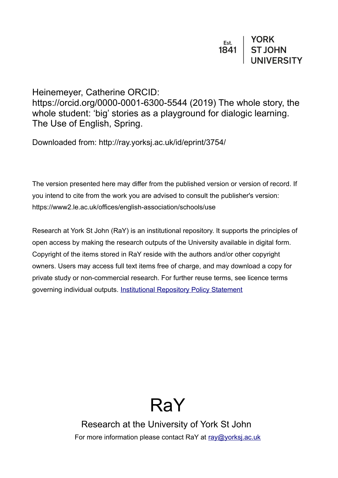Heinemeyer, Catherine ORCID: https://orcid.org/0000-0001-6300-5544 (2019) The whole story, the whole student: 'big' stories as a playground for dialogic learning. The Use of English, Spring.

Downloaded from: http://ray.yorksj.ac.uk/id/eprint/3754/

The version presented here may differ from the published version or version of record. If you intend to cite from the work you are advised to consult the publisher's version: https://www2.le.ac.uk/offices/english-association/schools/use

Research at York St John (RaY) is an institutional repository. It supports the principles of open access by making the research outputs of the University available in digital form. Copyright of the items stored in RaY reside with the authors and/or other copyright owners. Users may access full text items free of charge, and may download a copy for private study or non-commercial research. For further reuse terms, see licence terms governing individual outputs. [Institutional Repository Policy Statement](https://www.yorksj.ac.uk/ils/repository-policies/)



Research at the University of York St John For more information please contact RaY at [ray@yorksj.ac.uk](mailto:ray@yorksj.ac.uk)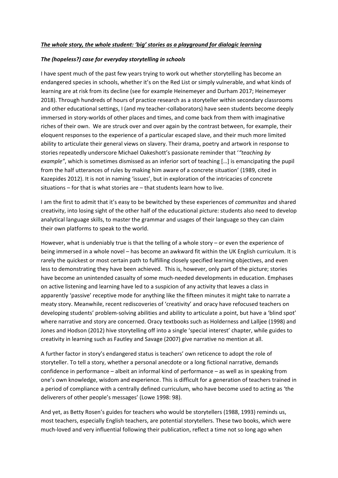### *The whole story, the whole student: 'big' stories as a playground for dialogic learning*

### *The (hopeless?) case for everyday storytelling in schools*

I have spent much of the past few years trying to work out whether storytelling has become an endangered species in schools, whether it's on the Red List or simply vulnerable, and what kinds of learning are at risk from its decline (see for example Heinemeyer and Durham 2017; Heinemeyer 2018). Through hundreds of hours of practice research as a storyteller within secondary classrooms and other educational settings, I (and my teacher-collaborators) have seen students become deeply immersed in story-worlds of other places and times, and come back from them with imaginative riches of their own. We are struck over and over again by the contrast between, for example, their eloquent responses to the experience of a particular escaped slave, and their much more limited ability to articulate their general views on slavery. Their drama, poetry and artwork in response to stories repeatedly underscore Michael Oakeshott's passionate reminder that '*"teaching by example"*, which is sometimes dismissed as an inferior sort of teaching […] is emancipating the pupil from the half utterances of rules by making him aware of a concrete situation' (1989, cited in Kazepides 2012). It is not in naming 'issues', but in exploration of the intricacies of concrete situations – for that is what stories are – that students learn how to live.

I am the first to admit that it's easy to be bewitched by these experiences of *communitas* and shared creativity, into losing sight of the other half of the educational picture: students also need to develop analytical language skills, to master the grammar and usages of their language so they can claim their own platforms to speak to the world.

However, what is undeniably true is that the telling of a whole story – or even the experience of being immersed in a whole novel – has become an awkward fit within the UK English curriculum. It is rarely the quickest or most certain path to fulfilling closely specified learning objectives, and even less to demonstrating they have been achieved. This is, however, only part of the picture; stories have become an unintended casualty of some much-needed developments in education. Emphases on active listening and learning have led to a suspicion of any activity that leaves a class in apparently 'passive' receptive mode for anything like the fifteen minutes it might take to narrate a meaty story. Meanwhile, recent rediscoveries of 'creativity' and oracy have refocused teachers on developing students' problem-solving abilities and ability to articulate a point, but have a 'blind spot' where narrative and story are concerned. Oracy textbooks such as Holderness and Lalljee (1998) and Jones and Hodson (2012) hive storytelling off into a single 'special interest' chapter, while guides to creativity in learning such as Fautley and Savage (2007) give narrative no mention at all.

A further factor in story's endangered status is teachers' own reticence to adopt the role of storyteller. To tell a story, whether a personal anecdote or a long fictional narrative, demands confidence in performance – albeit an informal kind of performance – as well as in speaking from one's own knowledge, wisdom and experience. This is difficult for a generation of teachers trained in a period of compliance with a centrally defined curriculum, who have become used to acting as 'the deliverers of other people's messages' (Lowe 1998: 98).

And yet, as Betty Rosen's guides for teachers who would be storytellers (1988, 1993) reminds us, most teachers, especially English teachers, are potential storytellers. These two books, which were much-loved and very influential following their publication, reflect a time not so long ago when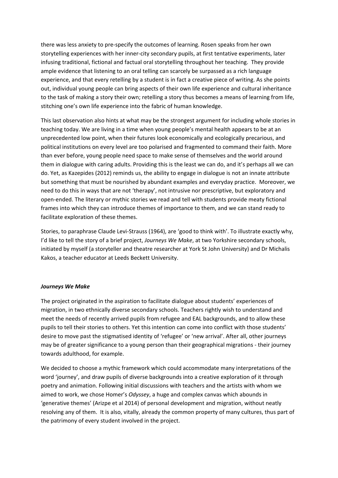there was less anxiety to pre-specify the outcomes of learning. Rosen speaks from her own storytelling experiences with her inner-city secondary pupils, at first tentative experiments, later infusing traditional, fictional and factual oral storytelling throughout her teaching. They provide ample evidence that listening to an oral telling can scarcely be surpassed as a rich language experience, and that every retelling by a student is in fact a creative piece of writing. As she points out, individual young people can bring aspects of their own life experience and cultural inheritance to the task of making a story their own; retelling a story thus becomes a means of learning from life, stitching one's own life experience into the fabric of human knowledge.

This last observation also hints at what may be the strongest argument for including whole stories in teaching today. We are living in a time when young people's mental health appears to be at an unprecedented low point, when their futures look economically and ecologically precarious, and political institutions on every level are too polarised and fragmented to command their faith. More than ever before, young people need space to make sense of themselves and the world around them in dialogue with caring adults. Providing this is the least we can do, and it's perhaps all we can do. Yet, as Kazepides (2012) reminds us, the ability to engage in dialogue is not an innate attribute but something that must be nourished by abundant examples and everyday practice. Moreover, we need to do this in ways that are not 'therapy', not intrusive nor prescriptive, but exploratory and open-ended. The literary or mythic stories we read and tell with students provide meaty fictional frames into which they can introduce themes of importance to them, and we can stand ready to facilitate exploration of these themes.

Stories, to paraphrase Claude Levi-Strauss (1964), are 'good to think with'. To illustrate exactly why, I'd like to tell the story of a brief project, *Journeys We Make*, at two Yorkshire secondary schools, initiated by myself (a storyteller and theatre researcher at York St John University) and Dr Michalis Kakos, a teacher educator at Leeds Beckett University.

### *Journeys We Make*

The project originated in the aspiration to facilitate dialogue about students' experiences of migration, in two ethnically diverse secondary schools. Teachers rightly wish to understand and meet the needs of recently arrived pupils from refugee and EAL backgrounds, and to allow these pupils to tell their stories to others. Yet this intention can come into conflict with those students' desire to move past the stigmatised identity of 'refugee' or 'new arrival'. After all, other journeys may be of greater significance to a young person than their geographical migrations - their journey towards adulthood, for example.

We decided to choose a mythic framework which could accommodate many interpretations of the word 'journey', and draw pupils of diverse backgrounds into a creative exploration of it through poetry and animation. Following initial discussions with teachers and the artists with whom we aimed to work, we chose Homer's *Odyssey*, a huge and complex canvas which abounds in 'generative themes' (Arizpe et al 2014) of personal development and migration, without neatly resolving any of them. It is also, vitally, already the common property of many cultures, thus part of the patrimony of every student involved in the project.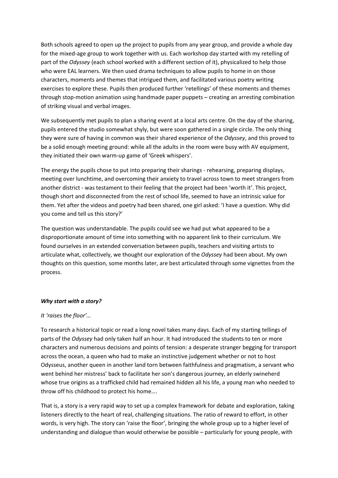Both schools agreed to open up the project to pupils from any year group, and provide a whole day for the mixed-age group to work together with us. Each workshop day started with my retelling of part of the *Odyssey* (each school worked with a different section of it), physicalized to help those who were EAL learners. We then used drama techniques to allow pupils to home in on those characters, moments and themes that intrigued them, and facilitated various poetry writing exercises to explore these. Pupils then produced further 'retellings' of these moments and themes through stop-motion animation using handmade paper puppets – creating an arresting combination of striking visual and verbal images.

We subsequently met pupils to plan a sharing event at a local arts centre. On the day of the sharing, pupils entered the studio somewhat shyly, but were soon gathered in a single circle. The only thing they were sure of having in common was their shared experience of the *Odyssey*, and this proved to be a solid enough meeting ground: while all the adults in the room were busy with AV equipment, they initiated their own warm-up game of 'Greek whispers'.

The energy the pupils chose to put into preparing their sharings - rehearsing, preparing displays, meeting over lunchtime, and overcoming their anxiety to travel across town to meet strangers from another district - was testament to their feeling that the project had been 'worth it'. This project, though short and disconnected from the rest of school life, seemed to have an intrinsic value for them. Yet after the videos and poetry had been shared, one girl asked: 'I have a question. Why did you come and tell us this story?'

The question was understandable. The pupils could see we had put what appeared to be a disproportionate amount of time into something with no apparent link to their curriculum. We found ourselves in an extended conversation between pupils, teachers and visiting artists to articulate what, collectively, we thought our exploration of the *Odyssey* had been about. My own thoughts on this question, some months later, are best articulated through some vignettes from the process.

### *Why start with a story?*

### *It 'raises the floor'…*

To research a historical topic or read a long novel takes many days. Each of my starting tellings of parts of the *Odyssey* had only taken half an hour. It had introduced the students to ten or more characters and numerous decisions and points of tension: a desperate stranger begging for transport across the ocean, a queen who had to make an instinctive judgement whether or not to host Odysseus, another queen in another land torn between faithfulness and pragmatism, a servant who went behind her mistress' back to facilitate her son's dangerous journey, an elderly swineherd whose true origins as a trafficked child had remained hidden all his life, a young man who needed to throw off his childhood to protect his home….

That is, a story is a very rapid way to set up a complex framework for debate and exploration, taking listeners directly to the heart of real, challenging situations. The ratio of reward to effort, in other words, is very high. The story can 'raise the floor', bringing the whole group up to a higher level of understanding and dialogue than would otherwise be possible – particularly for young people, with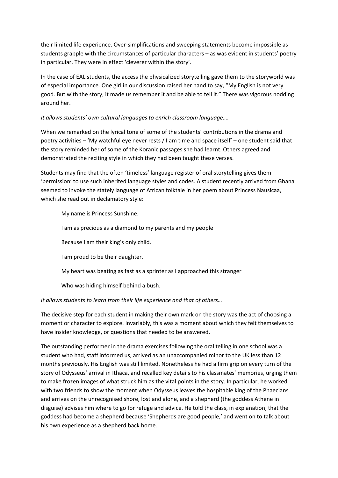their limited life experience. Over-simplifications and sweeping statements become impossible as students grapple with the circumstances of particular characters – as was evident in students' poetry in particular. They were in effect 'cleverer within the story'.

In the case of EAL students, the access the physicalized storytelling gave them to the storyworld was of especial importance. One girl in our discussion raised her hand to say, "My English is not very good. But with the story, it made us remember it and be able to tell it." There was vigorous nodding around her.

# *It allows students' own cultural languages to enrich classroom language….*

When we remarked on the lyrical tone of some of the students' contributions in the drama and poetry activities – 'My watchful eye never rests / I am time and space itself' – one student said that the story reminded her of some of the Koranic passages she had learnt. Others agreed and demonstrated the reciting style in which they had been taught these verses.

Students may find that the often 'timeless' language register of oral storytelling gives them 'permission' to use such inherited language styles and codes. A student recently arrived from Ghana seemed to invoke the stately language of African folktale in her poem about Princess Nausicaa, which she read out in declamatory style:

My name is Princess Sunshine.

I am as precious as a diamond to my parents and my people

Because I am their king's only child.

I am proud to be their daughter.

My heart was beating as fast as a sprinter as I approached this stranger

Who was hiding himself behind a bush.

### *It allows students to learn from their life experience and that of others…*

The decisive step for each student in making their own mark on the story was the act of choosing a moment or character to explore. Invariably, this was a moment about which they felt themselves to have insider knowledge, or questions that needed to be answered.

The outstanding performer in the drama exercises following the oral telling in one school was a student who had, staff informed us, arrived as an unaccompanied minor to the UK less than 12 months previously. His English was still limited. Nonetheless he had a firm grip on every turn of the story of Odysseus' arrival in Ithaca, and recalled key details to his classmates' memories, urging them to make frozen images of what struck him as the vital points in the story. In particular, he worked with two friends to show the moment when Odysseus leaves the hospitable king of the Phaecians and arrives on the unrecognised shore, lost and alone, and a shepherd (the goddess Athene in disguise) advises him where to go for refuge and advice. He told the class, in explanation, that the goddess had become a shepherd because 'Shepherds are good people,' and went on to talk about his own experience as a shepherd back home.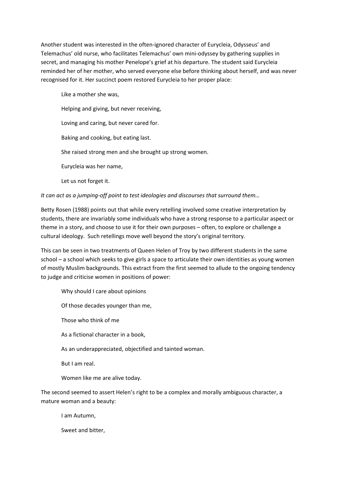Another student was interested in the often-ignored character of Eurycleia, Odysseus' and Telemachus' old nurse, who facilitates Telemachus' own mini-odyssey by gathering supplies in secret, and managing his mother Penelope's grief at his departure. The student said Eurycleia reminded her of her mother, who served everyone else before thinking about herself, and was never recognised for it. Her succinct poem restored Eurycleia to her proper place:

Like a mother she was, Helping and giving, but never receiving, Loving and caring, but never cared for. Baking and cooking, but eating last. She raised strong men and she brought up strong women. Eurycleia was her name, Let us not forget it.

*It can act as a jumping-off point to test ideologies and discourses that surround them…*

Betty Rosen (1988) points out that while every retelling involved some creative interpretation by students, there are invariably some individuals who have a strong response to a particular aspect or theme in a story, and choose to use it for their own purposes – often, to explore or challenge a cultural ideology. Such retellings move well beyond the story's original territory.

This can be seen in two treatments of Queen Helen of Troy by two different students in the same school – a school which seeks to give girls a space to articulate their own identities as young women of mostly Muslim backgrounds. This extract from the first seemed to allude to the ongoing tendency to judge and criticise women in positions of power:

Why should I care about opinions

Of those decades younger than me,

Those who think of me

As a fictional character in a book,

As an underappreciated, objectified and tainted woman.

But I am real.

Women like me are alive today.

The second seemed to assert Helen's right to be a complex and morally ambiguous character, a mature woman and a beauty:

I am Autumn,

Sweet and bitter,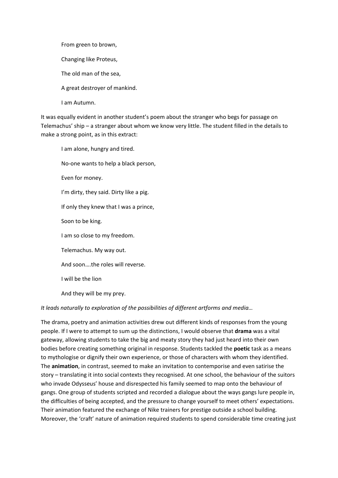From green to brown, Changing like Proteus, The old man of the sea, A great destroyer of mankind. I am Autumn.

It was equally evident in another student's poem about the stranger who begs for passage on Telemachus' ship – a stranger about whom we know very little. The student filled in the details to make a strong point, as in this extract:

I am alone, hungry and tired. No-one wants to help a black person, Even for money. I'm dirty, they said. Dirty like a pig. If only they knew that I was a prince, Soon to be king. I am so close to my freedom. Telemachus. My way out. And soon….the roles will reverse. I will be the lion And they will be my prey.

### *It leads naturally to exploration of the possibilities of different artforms and media…*

The drama, poetry and animation activities drew out different kinds of responses from the young people. If I were to attempt to sum up the distinctions, I would observe that **drama** was a vital gateway, allowing students to take the big and meaty story they had just heard into their own bodies before creating something original in response. Students tackled the **poetic** task as a means to mythologise or dignify their own experience, or those of characters with whom they identified. The **animation**, in contrast, seemed to make an invitation to contemporise and even satirise the story – translating it into social contexts they recognised. At one school, the behaviour of the suitors who invade Odysseus' house and disrespected his family seemed to map onto the behaviour of gangs. One group of students scripted and recorded a dialogue about the ways gangs lure people in, the difficulties of being accepted, and the pressure to change yourself to meet others' expectations. Their animation featured the exchange of Nike trainers for prestige outside a school building. Moreover, the 'craft' nature of animation required students to spend considerable time creating just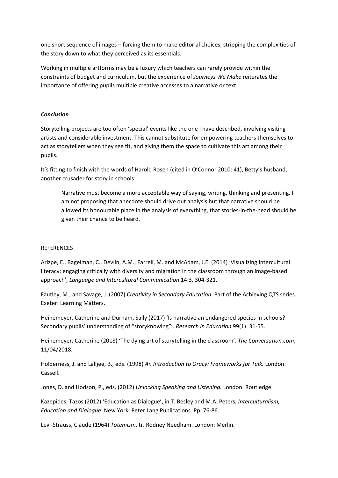one short sequence of images – forcing them to make editorial choices, stripping the complexities of the story down to what they perceived as its essentials.

Working in multiple artforms may be a luxury which teachers can rarely provide within the constraints of budget and curriculum, but the experience of *Journeys We Make* reiterates the importance of offering pupils multiple creative accesses to a narrative or text.

## *Conclusion*

Storytelling projects are too often 'special' events like the one I have described, involving visiting artists and considerable investment. This cannot substitute for empowering teachers themselves to act as storytellers when they see fit, and giving them the space to cultivate this art among their pupils.

It's fitting to finish with the words of Harold Rosen (cited in O'Connor 2010: 41), Betty's husband, another crusader for story in schools:

Narrative must become a more acceptable way of saying, writing, thinking and presenting. I am not proposing that anecdote should drive out analysis but that narrative should be allowed its honourable place in the analysis of everything, that stories-in-the-head should be given their chance to be heard.

### **REFERENCES**

Arizpe, E., Bagelman, C., Devlin, A.M., Farrell, M. and McAdam, J.E. (2014) 'Visualizing intercultural literacy: engaging critically with diversity and migration in the classroom through an image-based approach', *Language and Intercultural Communication* 14:3, 304-321.

Fautley, M., and Savage, J. (2007) *Creativity in Secondary Education*. Part of the Achieving QTS series. Exeter: Learning Matters.

Heinemeyer, Catherine and Durham, Sally (2017) 'Is narrative an endangered species in schools? Secondary pupils' understanding of "storyknowing"'. *Research in Education* 99(1): 31-55.

Heinemeyer, Catherine (2018) 'The dying art of storytelling in the classroom'. *The Conversation.com*, 11/04/2018.

Holderness, J. and Lalljee, B., eds. (1998) *An Introduction to Oracy: Frameworks for Talk.* London: Cassell.

Jones, D. and Hodson, P., eds. (2012) *Unlocking Speaking and Listening.* London: Routledge.

Kazepides, Tazos (2012) 'Education as Dialogue', in T. Besley and M.A. Peters, *Interculturalism, Education and Dialogue*. New York: Peter Lang Publications. Pp. 76-86.

Levi-Strauss, Claude (1964) *Totemism*, tr. Rodney Needham. London: Merlin.